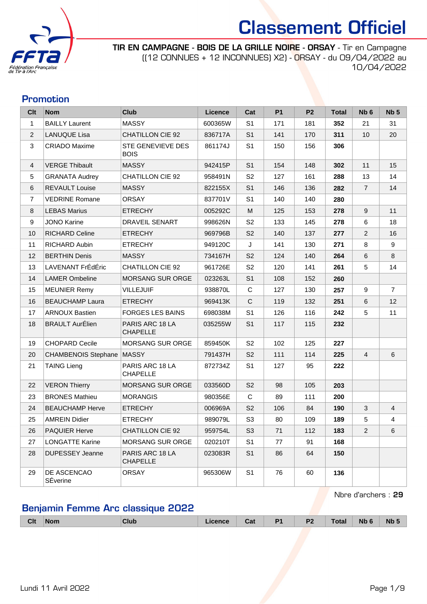

TIR EN CAMPAGNE - BOIS DE LA GRILLE NOIRE - ORSAY - Tir en Campagne ((12 CONNUES + 12 INCONNUES) X2) - ORSAY - du 09/04/2022 au 10/04/2022

### Promotion

| Clt            | <b>Nom</b>                 | <b>Club</b>                        | Licence | Cat            | <b>P1</b> | P <sub>2</sub> | <b>Total</b> | Nb <sub>6</sub> | Nb <sub>5</sub> |
|----------------|----------------------------|------------------------------------|---------|----------------|-----------|----------------|--------------|-----------------|-----------------|
| $\mathbf{1}$   | <b>BAILLY Laurent</b>      | <b>MASSY</b>                       | 600365W | S <sub>1</sub> | 171       | 181            | 352          | 21              | 31              |
| $\overline{2}$ | <b>LANUQUE Lisa</b>        | <b>CHATILLON CIE 92</b>            | 836717A | S <sub>1</sub> | 141       | 170            | 311          | 10              | 20              |
| 3              | <b>CRIADO Maxime</b>       | STE GENEVIEVE DES<br><b>BOIS</b>   | 861174J | S <sub>1</sub> | 150       | 156            | 306          |                 |                 |
| $\overline{4}$ | <b>VERGE Thibault</b>      | <b>MASSY</b>                       | 942415P | S <sub>1</sub> | 154       | 148            | 302          | 11              | 15              |
| 5              | <b>GRANATA Audrey</b>      | <b>CHATILLON CIE 92</b>            | 958491N | S <sub>2</sub> | 127       | 161            | 288          | 13              | 14              |
| 6              | <b>REVAULT Louise</b>      | <b>MASSY</b>                       | 822155X | S <sub>1</sub> | 146       | 136            | 282          | $\overline{7}$  | 14              |
| $\overline{7}$ | <b>VEDRINE Romane</b>      | <b>ORSAY</b>                       | 837701V | S <sub>1</sub> | 140       | 140            | 280          |                 |                 |
| 8              | <b>LEBAS Marius</b>        | <b>ETRECHY</b>                     | 005292C | M              | 125       | 153            | 278          | 9               | 11              |
| 9              | <b>JONO Karine</b>         | DRAVEIL SENART                     | 998626N | S <sub>2</sub> | 133       | 145            | 278          | 6               | 18              |
| 10             | <b>RICHARD Celine</b>      | <b>ETRECHY</b>                     | 969796B | S <sub>2</sub> | 140       | 137            | 277          | $\overline{2}$  | 16              |
| 11             | RICHARD Aubin              | <b>ETRECHY</b>                     | 949120C | J              | 141       | 130            | 271          | 8               | 9               |
| 12             | <b>BERTHIN Denis</b>       | <b>MASSY</b>                       | 734167H | S <sub>2</sub> | 124       | 140            | 264          | $\,6\,$         | 8               |
| 13             | LAVENANT FrÉdÉric          | <b>CHATILLON CIE 92</b>            | 961726E | S <sub>2</sub> | 120       | 141            | 261          | 5               | 14              |
| 14             | <b>LAMER Ombeline</b>      | <b>MORSANG SUR ORGE</b>            | 023263L | S <sub>1</sub> | 108       | 152            | 260          |                 |                 |
| 15             | <b>MEUNIER Remy</b>        | <b>VILLEJUIF</b>                   | 938870L | $\mathbf C$    | 127       | 130            | 257          | 9               | $\overline{7}$  |
| 16             | <b>BEAUCHAMP Laura</b>     | <b>ETRECHY</b>                     | 969413K | $\mathbf C$    | 119       | 132            | 251          | 6               | 12              |
| 17             | <b>ARNOUX Bastien</b>      | <b>FORGES LES BAINS</b>            | 698038M | S <sub>1</sub> | 126       | 116            | 242          | 5               | 11              |
| 18             | <b>BRAULT AurÉlien</b>     | PARIS ARC 18 LA<br><b>CHAPELLE</b> | 035255W | S <sub>1</sub> | 117       | 115            | 232          |                 |                 |
| 19             | <b>CHOPARD Cecile</b>      | <b>MORSANG SUR ORGE</b>            | 859450K | S <sub>2</sub> | 102       | 125            | 227          |                 |                 |
| 20             | <b>CHAMBENOIS Stephane</b> | MASSY                              | 791437H | S <sub>2</sub> | 111       | 114            | 225          | $\overline{4}$  | 6               |
| 21             | <b>TAING Lieng</b>         | PARIS ARC 18 LA<br><b>CHAPELLE</b> | 872734Z | S <sub>1</sub> | 127       | 95             | 222          |                 |                 |
| 22             | <b>VERON Thierry</b>       | MORSANG SUR ORGE                   | 033560D | S <sub>2</sub> | 98        | 105            | 203          |                 |                 |
| 23             | <b>BRONES Mathieu</b>      | <b>MORANGIS</b>                    | 980356E | C              | 89        | 111            | 200          |                 |                 |
| 24             | <b>BEAUCHAMP Herve</b>     | <b>ETRECHY</b>                     | 006969A | S <sub>2</sub> | 106       | 84             | 190          | 3               | $\overline{4}$  |
| 25             | <b>AMREIN Didier</b>       | <b>ETRECHY</b>                     | 989079L | S <sub>3</sub> | 80        | 109            | 189          | 5               | 4               |
| 26             | PAQUIER Herve              | <b>CHATILLON CIE 92</b>            | 959754L | S3             | 71        | 112            | 183          | 2               | 6               |
| 27             | <b>LONGATTE Karine</b>     | MORSANG SUR ORGE                   | 020210T | S <sub>1</sub> | 77        | 91             | 168          |                 |                 |
| 28             | <b>DUPESSEY Jeanne</b>     | PARIS ARC 18 LA<br><b>CHAPELLE</b> | 023083R | S <sub>1</sub> | 86        | 64             | 150          |                 |                 |
| 29             | DE ASCENCAO<br>SÉverine    | <b>ORSAY</b>                       | 965306W | S <sub>1</sub> | 76        | 60             | 136          |                 |                 |

Nbre d'archers : 29

### Benjamin Femme Arc classique 2022

|  | <b>Clt</b> | Nom | <b>Club</b> | <i>icence</i> | Cat | DA. | D1<br>$ -$ | $\tau$ otal<br>$- - - - - -$ | <b>Nb</b> | Nb |
|--|------------|-----|-------------|---------------|-----|-----|------------|------------------------------|-----------|----|
|--|------------|-----|-------------|---------------|-----|-----|------------|------------------------------|-----------|----|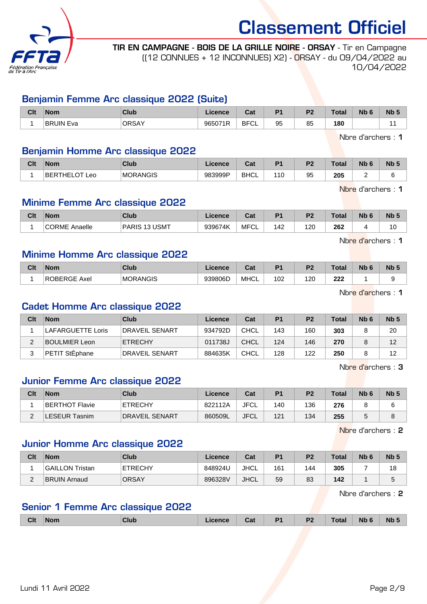

TIR EN CAMPAGNE - BOIS DE LA GRILLE NOIRE - ORSAY - Tir en Campagne ((12 CONNUES + 12 INCONNUES) X2) - ORSAY - du 09/04/2022 au 10/04/2022

### Benjamin Femme Arc classique 2022 (Suite)

| Clt | <b>Nom</b>          | Club         | ∟icence⊦ | Cat                | D <sub>4</sub> | no. | Total | <b>Nb</b><br>$\overline{\phantom{a}}$ | N <sub>b</sub> 5 |
|-----|---------------------|--------------|----------|--------------------|----------------|-----|-------|---------------------------------------|------------------|
|     | <b>BRUIN</b><br>Eva | <b>ORSAY</b> | 965071R  | <b>BFCI</b><br>ັບ∟ | 95             | 85  | 180   |                                       |                  |

Nbre d'archers : 1

### Benjamin Homme Arc classique 2022

| Clt | <b>Nom</b>                            | <b>Club</b> | icence  | יפ<br>uai   | D <sub>1</sub> | D <sub>2</sub> | Total | <b>Nb</b> | <b>N<sub>b</sub></b> |
|-----|---------------------------------------|-------------|---------|-------------|----------------|----------------|-------|-----------|----------------------|
|     | $\cap$ T<br>.HE!<br><b>BER</b><br>Leo | MORANGIS    | 983999P | <b>BHCL</b> | 110            | 95             | 205   |           |                      |

Nbre d'archers : 1

Nbre d'archers : 1

### Minime Femme Arc classique 2022

| Clt | <b>Nom</b>              | <b>Club</b>                                  | icence  | יפ<br>uai        | D <sub>1</sub> | D <sub>0</sub> | <b>Total</b> | Nb | <b>N<sub>b</sub></b> |
|-----|-------------------------|----------------------------------------------|---------|------------------|----------------|----------------|--------------|----|----------------------|
|     | <b>CORME</b><br>Anaelle | <b>USMT</b><br><b>PARIS</b><br>- 1 2<br>- 10 | 939674K | <b>MFC</b><br>◡∟ | 142            | 120            | 262          |    | l U                  |

Minime Homme Arc classique 2022

| Clt | <b>Nom</b>             | Club            | Licence | r.,<br>ua.  | D <sup>4</sup> | D.  | Total      | <b>Nb</b> | <b>Nb</b> |
|-----|------------------------|-----------------|---------|-------------|----------------|-----|------------|-----------|-----------|
|     | <b>ROBERGE</b><br>Axel | <b>MORANGIS</b> | 939806D | <b>MHCL</b> | 102            | 120 | າາາ<br>ZZZ |           |           |

Nbre d'archers : 1

### Cadet Homme Arc classique 2022

| Clt | <b>Nom</b>        | Club           | Licence | Cat         | P <sub>1</sub> | P <sub>2</sub> | <b>Total</b> | Nb <sub>6</sub> | Nb <sub>5</sub> |
|-----|-------------------|----------------|---------|-------------|----------------|----------------|--------------|-----------------|-----------------|
|     | LAFARGUETTE Loris | DRAVEIL SENART | 934792D | <b>CHCL</b> | 143            | 160            | 303          |                 | 20              |
|     | BOULMIER Leon     | <b>ETRECHY</b> | 011738J | CHCL        | 124            | 146            | 270          |                 | 12              |
|     | PETIT StEphane    | DRAVEIL SENART | 884635K | <b>CHCL</b> | 128            | 122            | 250          |                 | 12              |

Nbre d'archers : 3

### Junior Femme Arc classique 2022

| Clt | <b>Nom</b>     | Club                  | Licence | Cat         | P <sub>1</sub> | P <sub>2</sub> | <b>Total</b> | N <sub>b</sub> 6 | Nb ! |
|-----|----------------|-----------------------|---------|-------------|----------------|----------------|--------------|------------------|------|
|     | BERTHOT Flavie | <b>ETRECHY</b>        | 822112A | <b>JFCL</b> | 140            | 136            | 276          |                  |      |
| -   | _ESEUR Tasnim  | <b>DRAVEIL SENART</b> | 860509L | <b>JFCL</b> | 121            | 134            | 255          |                  |      |

Nbre d'archers : 2

### Junior Homme Arc classique 2022

| Clt | <b>Nom</b>          | Club           | Licence | Cat         | P <sub>1</sub> | P <sub>2</sub> | <b>Total</b> | N <sub>b</sub> <sub>6</sub> | Nb <sub>5</sub> |
|-----|---------------------|----------------|---------|-------------|----------------|----------------|--------------|-----------------------------|-----------------|
|     | GAILLON Tristan     | <b>ETRECHY</b> | 848924U | JHCL        | 161            | 144            | 305          |                             | 18              |
| ◠   | <b>BRUIN Arnaud</b> | <b>ORSAY</b>   | 896328V | <b>JHCL</b> | 59             | 83             | 142          |                             |                 |

Nbre d'archers : 2

### Senior 1 Femme Arc classique 2022

| <b>Clt</b><br><b>Nb</b><br><b>Nb</b><br>D <sup>-</sup><br>D <sub>4</sub><br>Total<br>Club<br><b>Nom</b><br><b>Licence</b><br>$\sim$<br>val<br>. . |
|---------------------------------------------------------------------------------------------------------------------------------------------------|
|---------------------------------------------------------------------------------------------------------------------------------------------------|

Lundi 11 Avril 2022 Page 2/9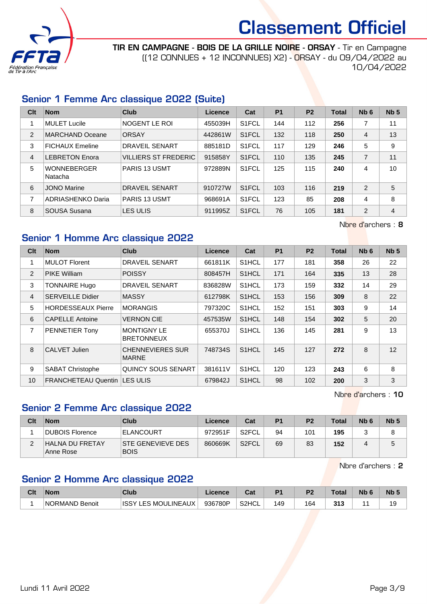

TIR EN CAMPAGNE - BOIS DE LA GRILLE NOIRE - ORSAY - Tir en Campagne ((12 CONNUES + 12 INCONNUES) X2) - ORSAY - du 09/04/2022 au 10/04/2022

### Senior 1 Femme Arc classique 2022 (Suite)

| Clt | <b>Nom</b>                    | Club                  | Licence | Cat                | <b>P1</b> | P <sub>2</sub> | <b>Total</b> | Nb <sub>6</sub> | Nb <sub>5</sub> |
|-----|-------------------------------|-----------------------|---------|--------------------|-----------|----------------|--------------|-----------------|-----------------|
| 1   | <b>MULET Lucile</b>           | NOGENT LE ROI         | 455039H | S <sub>1</sub> FCL | 144       | 112            | 256          | 7               | 11              |
| 2   | <b>MARCHAND Oceane</b>        | ORSAY                 | 442861W | S <sub>1</sub> FCL | 132       | 118            | 250          | 4               | 13              |
| 3   | <b>FICHAUX Emeline</b>        | <b>DRAVEIL SENART</b> | 885181D | S <sub>1</sub> FCL | 117       | 129            | 246          | 5               | 9               |
| 4   | <b>LEBRETON Enora</b>         | VILLIERS ST FREDERIC  | 915858Y | S <sub>1</sub> FCL | 110       | 135            | 245          | 7               | 11              |
| 5   | <b>WONNEBERGER</b><br>Natacha | <b>PARIS 13 USMT</b>  | 972889N | S <sub>1</sub> FCL | 125       | 115            | 240          | 4               | 10              |
| 6   | <b>JONO Marine</b>            | <b>DRAVEIL SENART</b> | 910727W | S <sub>1</sub> FCL | 103       | 116            | 219          | 2               | 5               |
| 7   | ADRIASHENKO Daria             | <b>PARIS 13 USMT</b>  | 968691A | S <sub>1</sub> FCL | 123       | 85             | 208          | 4               | 8               |
| 8   | SOUSA Susana                  | <b>LES ULIS</b>       | 911995Z | S <sub>1</sub> FCL | 76        | 105            | 181          | 2               | $\overline{4}$  |

Nbre d'archers : 8

### Senior 1 Homme Arc classique 2022

| Clt            | <b>Nom</b>                | <b>Club</b>                             | <b>Licence</b> | Cat                | P <sub>1</sub> | P <sub>2</sub> | <b>Total</b> | Nb <sub>6</sub> | Nb <sub>5</sub> |
|----------------|---------------------------|-----------------------------------------|----------------|--------------------|----------------|----------------|--------------|-----------------|-----------------|
| 1              | <b>MULOT Florent</b>      | <b>DRAVEIL SENART</b>                   | 661811K        | S <sub>1</sub> HCL | 177            | 181            | 358          | 26              | 22              |
| $\overline{2}$ | <b>PIKE William</b>       | <b>POISSY</b>                           | 808457H        | S <sub>1</sub> HCL | 171            | 164            | 335          | 13              | 28              |
| 3              | <b>TONNAIRE Hugo</b>      | <b>DRAVEIL SENART</b>                   | 836828W        | S <sub>1</sub> HCL | 173            | 159            | 332          | 14              | 29              |
| 4              | <b>SERVEILLE Didier</b>   | <b>MASSY</b>                            | 612798K        | S1HCL              | 153            | 156            | 309          | 8               | 22              |
| 5              | <b>HORDESSEAUX Pierre</b> | <b>MORANGIS</b>                         | 797320C        | S1HCL              | 152            | 151            | 303          | 9               | 14              |
| 6              | <b>CAPELLE Antoine</b>    | <b>VERNON CIE</b>                       | 457535W        | S <sub>1</sub> HCL | 148            | 154            | 302          | 5               | 20              |
| 7              | PENNETIER Tony            | <b>MONTIGNY LE</b><br><b>BRETONNEUX</b> | 655370J        | S <sub>1</sub> HCL | 136            | 145            | 281          | 9               | 13              |
| 8              | CALVET Julien             | <b>CHENNEVIERES SUR</b><br><b>MARNE</b> | 748734S        | S <sub>1</sub> HCL | 145            | 127            | 272          | 8               | 12              |
| 9              | <b>SABAT Christophe</b>   | QUINCY SOUS SENART                      | 381611V        | S <sub>1</sub> HCL | 120            | 123            | 243          | 6               | 8               |
| 10             | FRANCHETEAU Quentin       | ILES ULIS                               | 679842J        | S <sub>1</sub> HCL | 98             | 102            | 200          | 3               | 3               |

Nbre d'archers : 10

### Senior 2 Femme Arc classique 2022

| Clt | <b>Nom</b>                   | Club                                    | Licence | Cat                | P <sub>1</sub> | P <sub>2</sub> | Total | N <sub>b</sub> 6 | Nb <sub>5</sub> |
|-----|------------------------------|-----------------------------------------|---------|--------------------|----------------|----------------|-------|------------------|-----------------|
|     | DUBOIS Florence              | <b>ELANCOURT</b>                        | 972951F | S <sub>2</sub> FCL | 94             | 101            | 195   |                  |                 |
|     | HALNA DU FRETAY<br>Anne Rose | <b>STE GENEVIEVE DES</b><br><b>BOIS</b> | 860669K | S <sub>2</sub> FCL | 69             | 83             | 152   |                  | b               |

Nbre d'archers : 2

### Senior 2 Homme Arc classique 2022

| Clt | <b>Nom</b>                      | Club                                   | Licence | ∼~∗<br>ua | D <sub>1</sub> | D <sub>0</sub> | `otal | <b>N<sub>b</sub></b> | N <sub>b</sub> |
|-----|---------------------------------|----------------------------------------|---------|-----------|----------------|----------------|-------|----------------------|----------------|
|     | <b>NORMAND</b><br><b>Benoit</b> | <b>LES MOULINEAUX</b><br><b>ISSY L</b> | 936780P | S2HCL     | 149            | 164            | 313   |                      | 19             |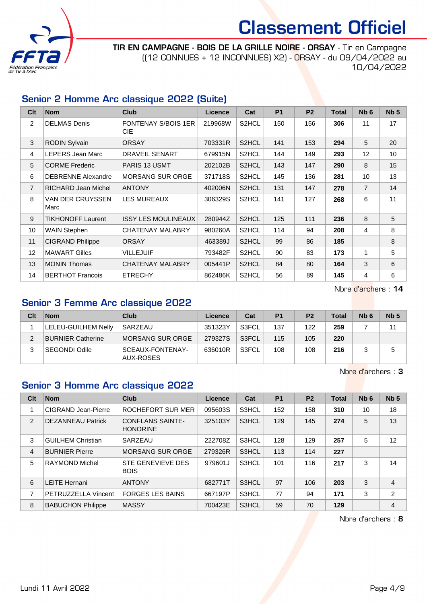

TIR EN CAMPAGNE - BOIS DE LA GRILLE NOIRE - ORSAY - Tir en Campagne ((12 CONNUES + 12 INCONNUES) X2) - ORSAY - du 09/04/2022 au 10/04/2022

### Senior 2 Homme Arc classique 2022 (Suite)

| Clt               | <b>Nom</b>                | <b>Club</b>                        | <b>Licence</b> | Cat                | P <sub>1</sub> | P <sub>2</sub> | <b>Total</b> | Nb <sub>6</sub> | Nb <sub>5</sub> |
|-------------------|---------------------------|------------------------------------|----------------|--------------------|----------------|----------------|--------------|-----------------|-----------------|
| $\overline{2}$    | <b>DELMAS Denis</b>       | <b>FONTENAY S/BOIS 1ER</b><br>CIE. | 219968W        | S2HCL              | 150            | 156            | 306          | 11              | 17              |
| 3                 | <b>RODIN Sylvain</b>      | <b>ORSAY</b>                       | 703331R        | S <sub>2</sub> HCL | 141            | 153            | 294          | 5               | 20              |
| 4                 | LEPERS Jean Marc          | <b>DRAVEIL SENART</b>              | 679915N        | S2HCL              | 144            | 149            | 293          | 12              | 10              |
| 5                 | <b>CORME Frederic</b>     | <b>PARIS 13 USMT</b>               | 202102B        | S2HCL              | 143            | 147            | 290          | 8               | 15              |
| 6                 | <b>DEBRENNE Alexandre</b> | MORSANG SUR ORGE                   | 371718S        | S2HCL              | 145            | 136            | 281          | 10              | 13              |
| $\overline{7}$    | RICHARD Jean Michel       | <b>ANTONY</b>                      | 402006N        | S2HCL              | 131            | 147            | 278          | $\overline{7}$  | 14              |
| 8                 | VAN DER CRUYSSEN<br>Marc  | <b>LES MUREAUX</b>                 | 306329S        | S2HCL              | 141            | 127            | 268          | 6               | 11              |
| 9                 | <b>TIKHONOFF Laurent</b>  | <b>ISSY LES MOULINEAUX</b>         | 280944Z        | S2HCL              | 125            | 111            | 236          | 8               | 5               |
| 10                | WAIN Stephen              | CHATENAY MALABRY                   | 980260A        | S2HCL              | 114            | 94             | 208          | 4               | 8               |
| 11                | <b>CIGRAND Philippe</b>   | <b>ORSAY</b>                       | 463389J        | S2HCL              | 99             | 86             | 185          |                 | 8               |
| $12 \overline{ }$ | <b>MAWART Gilles</b>      | VILLEJUIF                          | 793482F        | S2HCL              | 90             | 83             | 173          | 1               | 5               |
| 13                | <b>MONIN Thomas</b>       | <b>CHATENAY MALABRY</b>            | 005441P        | S2HCL              | 84             | 80             | 164          | 3               | 6               |
| 14                | <b>BERTHOT Francois</b>   | <b>ETRECHY</b>                     | 862486K        | S2HCL              | 56             | 89             | 145          | 4               | 6               |

Nbre d'archers : 14

### Senior 3 Femme Arc classique 2022

| Clt | <b>Nom</b>                 | Club                          | Licence | Cat   | P <sub>1</sub> | P <sub>2</sub> | <b>Total</b> | N <sub>b</sub> 6 | Nb <sub>5</sub> |
|-----|----------------------------|-------------------------------|---------|-------|----------------|----------------|--------------|------------------|-----------------|
|     | <b>LELEU-GUILHEM Nelly</b> | SARZEAU                       | 351323Y | S3FCL | 137            | 122            | 259          |                  | 11              |
|     | <b>BURNIER Catherine</b>   | ∣MORSANG SUR ORGE⊺            | 279327S | S3FCL | 115            | 105            | 220          |                  |                 |
| 3   | <b>SEGONDI Odile</b>       | SCEAUX-FONTENAY-<br>AUX-ROSES | 636010R | S3FCL | 108            | 108            | 216          |                  | 5               |

Nbre d'archers : 3

### Senior 3 Homme Arc classique 2022

| Clt            | <b>Nom</b>               | Club                                       | <b>Licence</b> | Cat   | P <sub>1</sub> | P <sub>2</sub> | <b>Total</b> | Nb <sub>6</sub> | Nb <sub>5</sub> |
|----------------|--------------------------|--------------------------------------------|----------------|-------|----------------|----------------|--------------|-----------------|-----------------|
|                | CIGRAND Jean-Pierre      | ROCHEFORT SUR MER                          | 095603S        | S3HCL | 152            | 158            | 310          | 10              | 18              |
| 2              | <b>DEZANNEAU Patrick</b> | <b>CONFLANS SAINTE-</b><br><b>HONORINE</b> | 325103Y        | S3HCL | 129            | 145            | 274          | 5               | 13              |
| 3              | <b>GUILHEM Christian</b> | SARZEAU                                    | 222708Z        | S3HCL | 128            | 129            | 257          | 5               | 12              |
| $\overline{4}$ | <b>BURNIER Pierre</b>    | <b>MORSANG SUR ORGE</b>                    | 279326R        | S3HCL | 113            | 114            | 227          |                 |                 |
| 5              | RAYMOND Michel           | <b>STE GENEVIEVE DES</b><br><b>BOIS</b>    | 979601J        | S3HCL | 101            | 116            | 217          | 3               | 14              |
| 6              | <b>LEITE Hernani</b>     | <b>ANTONY</b>                              | 682771T        | S3HCL | 97             | 106            | 203          | 3               | 4               |
| 7              | PETRUZZELLA Vincent      | <b>FORGES LES BAINS</b>                    | 667197P        | S3HCL | 77             | 94             | 171          | 3               | 2               |
| 8              | <b>BABUCHON Philippe</b> | <b>MASSY</b>                               | 700423E        | S3HCL | 59             | 70             | 129          |                 | 4               |

Nbre d'archers : 8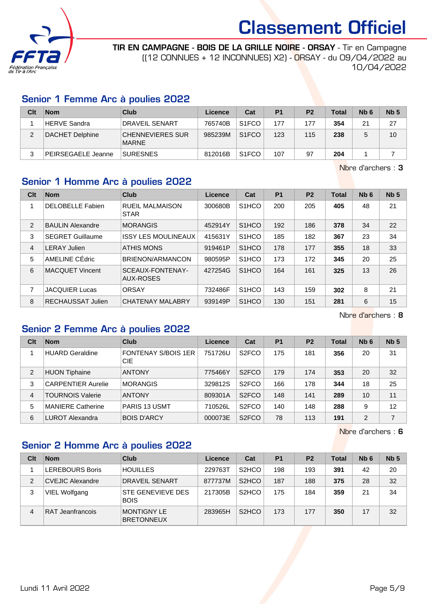

TIR EN CAMPAGNE - BOIS DE LA GRILLE NOIRE - ORSAY - Tir en Campagne ((12 CONNUES + 12 INCONNUES) X2) - ORSAY - du 09/04/2022 au 10/04/2022

### Senior 1 Femme Arc à poulies 2022

| Clt | <b>Nom</b>                | Club                                    | Licence | Cat                | P <sub>1</sub> | P <sub>2</sub> | <b>Total</b> | N <sub>b</sub> 6 | Nb <sub>5</sub> |
|-----|---------------------------|-----------------------------------------|---------|--------------------|----------------|----------------|--------------|------------------|-----------------|
|     | HERVE Sandra              | <b>DRAVEIL SENART</b>                   | 765740B | S <sub>1</sub> FCO | 177            | 177            | 354          | 21               | 27              |
| 2   | DACHET Delphine           | <b>CHENNEVIERES SUR</b><br><b>MARNE</b> | 985239M | S <sub>1</sub> FCO | 123            | 115            | 238          |                  | 10              |
|     | <b>PEIRSEGAELE Jeanne</b> | <b>SURESNES</b>                         | 812016B | S <sub>1</sub> FCO | 107            | 97             | 204          |                  |                 |

Nbre d'archers : 3

### Senior 1 Homme Arc à poulies 2022

| Clt           | <b>Nom</b>              | Club                                  | Licence | Cat                            | <b>P1</b> | P <sub>2</sub> | <b>Total</b> | Nb <sub>6</sub> | Nb <sub>5</sub> |
|---------------|-------------------------|---------------------------------------|---------|--------------------------------|-----------|----------------|--------------|-----------------|-----------------|
| 1             | <b>DELOBELLE Fabien</b> | <b>RUEIL MALMAISON</b><br><b>STAR</b> | 300680B | S <sub>1</sub> HCO             | 200       | 205            | 405          | 48              | 21              |
| $\mathcal{P}$ | <b>BAULIN Alexandre</b> | <b>MORANGIS</b>                       | 452914Y | S <sub>1</sub> HCO             | 192       | 186            | 378          | 34              | 22              |
| 3             | <b>SEGRET Guillaume</b> | <b>ISSY LES MOULINEAUX</b>            | 415631Y | S <sub>1</sub> HCO             | 185       | 182            | 367          | 23              | 34              |
| 4             | <b>LERAY Julien</b>     | <b>ATHIS MONS</b>                     | 919461P | S <sub>1</sub> HCO             | 178       | 177            | 355          | 18              | 33              |
| 5             | AMELINE CÉdric          | BRIENON/ARMANCON                      | 980595P | S <sub>1</sub> H <sub>CO</sub> | 173       | 172            | 345          | 20              | 25              |
| 6             | <b>MACQUET Vincent</b>  | SCEAUX-FONTENAY-<br>AUX-ROSES         | 427254G | S <sub>1</sub> HCO             | 164       | 161            | 325          | 13              | 26              |
| 7             | <b>JACQUIER Lucas</b>   | ORSAY                                 | 732486F | S <sub>1</sub> HCO             | 143       | 159            | 302          | 8               | 21              |
| 8             | RECHAUSSAT Julien       | <b>CHATENAY MALABRY</b>               | 939149P | S <sub>1</sub> HCO             | 130       | 151            | 281          | 6               | 15              |

Nbre d'archers : 8

## Senior 2 Femme Arc à poulies 2022

| Clt            | <b>Nom</b>                | Club                              | Licence | Cat                | P <sub>1</sub> | P <sub>2</sub> | <b>Total</b> | N <sub>b</sub> 6 | Nb <sub>5</sub> |
|----------------|---------------------------|-----------------------------------|---------|--------------------|----------------|----------------|--------------|------------------|-----------------|
|                | <b>HUARD Geraldine</b>    | <b>FONTENAY S/BOIS 1ER</b><br>CIE | 751726U | S <sub>2</sub> FCO | 175            | 181            | 356          | 20               | 31              |
| $\overline{2}$ | <b>HUON Tiphaine</b>      | <b>ANTONY</b>                     | 775466Y | S <sub>2</sub> FCO | 179            | 174            | 353          | 20               | 32              |
| 3              | <b>CARPENTIER Aurelie</b> | <b>MORANGIS</b>                   | 329812S | S <sub>2</sub> FCO | 166            | 178            | 344          | 18               | 25              |
| 4              | <b>TOURNOIS Valerie</b>   | <b>ANTONY</b>                     | 809301A | S <sub>2</sub> FCO | 148            | 141            | 289          | 10               | 11              |
| 5              | <b>MANIERE Catherine</b>  | <b>PARIS 13 USMT</b>              | 710526L | S <sub>2</sub> FCO | 140            | 148            | 288          | 9                | 12              |
| 6              | LUROT Alexandra           | <b>BOIS D'ARCY</b>                | 000073E | S <sub>2</sub> FCO | 78             | 113            | 191          | $\overline{2}$   | 7               |

Nbre d'archers : 6

### Senior 2 Homme Arc à poulies 2022

| Clt            | <b>Nom</b>              | Club                                    | Licence | Cat                             | P <sub>1</sub> | P <sub>2</sub> | <b>Total</b> | N <sub>b</sub> 6 | Nb <sub>5</sub> |
|----------------|-------------------------|-----------------------------------------|---------|---------------------------------|----------------|----------------|--------------|------------------|-----------------|
|                | <b>LEREBOURS Boris</b>  | <b>HOUILLES</b>                         | 229763T | S <sub>2</sub> H <sub>CO</sub>  | 198            | 193            | 391          | 42               | 20              |
| $\overline{2}$ | <b>CVEJIC Alexandre</b> | <b>DRAVEIL SENART</b>                   | 877737M | S <sub>2</sub> H <sub>C</sub> O | 187            | 188            | 375          | 28               | 32              |
| 3              | VIEL Wolfgang           | STE GENEVIEVE DES<br><b>BOIS</b>        | 217305B | S <sub>2</sub> H <sub>CO</sub>  | 175            | 184            | 359          | 21               | 34              |
| 4              | RAT Jeanfrancois        | <b>MONTIGNY LE</b><br><b>BRETONNEUX</b> | 283965H | S <sub>2</sub> H <sub>CO</sub>  | 173            | 177            | 350          | 17               | 32              |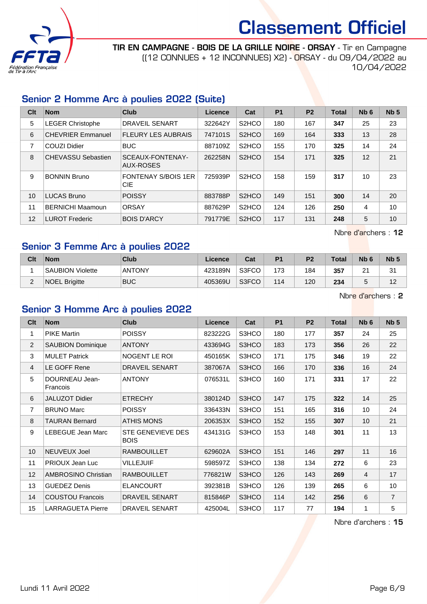

TIR EN CAMPAGNE - BOIS DE LA GRILLE NOIRE - ORSAY - Tir en Campagne ((12 CONNUES + 12 INCONNUES) X2) - ORSAY - du 09/04/2022 au 10/04/2022

### Senior 2 Homme Arc à poulies 2022 (Suite)

| Clt | <b>Nom</b>                | Club                                     | Licence | Cat                            | P <sub>1</sub> | <b>P2</b> | <b>Total</b> | Nb <sub>6</sub> | Nb <sub>5</sub> |
|-----|---------------------------|------------------------------------------|---------|--------------------------------|----------------|-----------|--------------|-----------------|-----------------|
| 5   | <b>LEGER Christophe</b>   | <b>DRAVEIL SENART</b>                    | 322642Y | S <sub>2</sub> HCO             | 180            | 167       | 347          | 25              | 23              |
| 6   | <b>CHEVRIER Emmanuel</b>  | <b>FLEURY LES AUBRAIS</b>                | 747101S | S <sub>2</sub> HCO             | 169            | 164       | 333          | 13              | 28              |
| 7   | COUZI Didier              | <b>BUC</b>                               | 887109Z | S <sub>2</sub> HCO             | 155            | 170       | 325          | 14              | 24              |
| 8   | <b>CHEVASSU Sebastien</b> | SCEAUX-FONTENAY-<br>AUX-ROSES            | 262258N | S <sub>2</sub> HCO             | 154            | 171       | 325          | 12              | 21              |
| 9   | <b>BONNIN Bruno</b>       | <b>FONTENAY S/BOIS 1ER</b><br><b>CIE</b> | 725939P | S <sub>2</sub> H <sub>CO</sub> | 158            | 159       | 317          | 10              | 23              |
| 10  | LUCAS Bruno               | <b>POISSY</b>                            | 883788P | S <sub>2</sub> HCO             | 149            | 151       | 300          | 14              | 20              |
| 11  | <b>BERNICHI Maamoun</b>   | <b>ORSAY</b>                             | 887629P | S <sub>2</sub> HCO             | 124            | 126       | 250          | 4               | 10              |
| 12  | LUROT Frederic            | <b>BOIS D'ARCY</b>                       | 791779E | S <sub>2</sub> HCO             | 117            | 131       | 248          | 5               | 10              |

Nbre d'archers : 12

### Senior 3 Femme Arc à poulies 2022

| Clt                | <b>Nom</b>              | Club          | Licence | Cat   | P <sub>1</sub> | P <sub>2</sub> | <b>Total</b> | N <sub>b</sub> 6   | Nb <sub>5</sub> |
|--------------------|-------------------------|---------------|---------|-------|----------------|----------------|--------------|--------------------|-----------------|
|                    | <b>SAUBION Violette</b> | <b>ANTONY</b> | 423189N | S3FCO | 173            | 184            | 357          | $\sim$<br><u>L</u> | 31              |
| $\sim$<br><u>_</u> | <b>NOEL Brigitte</b>    | <b>BUC</b>    | 405369U | S3FCO | 114            | 120            | 234          |                    | $\Lambda$<br>▵  |

Nbre d'archers : 2

### Senior 3 Homme Arc à poulies 2022

| Clt            | <b>Nom</b>                 | <b>Club</b>                      | <b>Licence</b> | Cat          | <b>P1</b> | P <sub>2</sub> | <b>Total</b> | N <sub>b</sub> 6 | Nb <sub>5</sub> |
|----------------|----------------------------|----------------------------------|----------------|--------------|-----------|----------------|--------------|------------------|-----------------|
| 1              | <b>PIKE Martin</b>         | <b>POISSY</b>                    | 823222G        | <b>S3HCO</b> | 180       | 177            | 357          | 24               | 25              |
| 2              | <b>SAUBION Dominique</b>   | <b>ANTONY</b>                    | 433694G        | S3HCO        | 183       | 173            | 356          | 26               | 22              |
| 3              | <b>MULET Patrick</b>       | NOGENT LE ROI                    | 450165K        | S3HCO        | 171       | 175            | 346          | 19               | 22              |
| $\overline{4}$ | LE GOFF Rene               | DRAVEIL SENART                   | 387067A        | S3HCO        | 166       | 170            | 336          | 16               | 24              |
| 5              | DOURNEAU Jean-<br>Francois | <b>ANTONY</b>                    | 076531L        | S3HCO        | 160       | 171            | 331          | 17               | 22              |
| 6              | JALUZOT Didier             | <b>ETRECHY</b>                   | 380124D        | S3HCO        | 147       | 175            | 322          | 14               | 25              |
| $\overline{7}$ | <b>BRUNO Marc</b>          | <b>POISSY</b>                    | 336433N        | S3HCO        | 151       | 165            | 316          | 10               | 24              |
| 8              | <b>TAURAN Bernard</b>      | <b>ATHIS MONS</b>                | 206353X        | S3HCO        | 152       | 155            | 307          | 10               | 21              |
| 9              | LEBEGUE Jean Marc          | STE GENEVIEVE DES<br><b>BOIS</b> | 434131G        | S3HCO        | 153       | 148            | 301          | 11               | 13              |
| 10             | NEUVEUX Joel               | <b>RAMBOUILLET</b>               | 629602A        | S3HCO        | 151       | 146            | 297          | 11               | 16              |
| 11             | <b>PRIOUX Jean Luc</b>     | <b>VILLEJUIF</b>                 | 598597Z        | S3HCO        | 138       | 134            | 272          | 6                | 23              |
| 12             | AMBROSINO Christian        | <b>RAMBOUILLET</b>               | 776821W        | S3HCO        | 126       | 143            | 269          | $\overline{4}$   | 17              |
| 13             | <b>GUEDEZ Denis</b>        | <b>ELANCOURT</b>                 | 392381B        | S3HCO        | 126       | 139            | 265          | 6                | 10              |
| 14             | <b>COUSTOU Francois</b>    | <b>DRAVEIL SENART</b>            | 815846P        | S3HCO        | 114       | 142            | 256          | 6                | $\overline{7}$  |
| 15             | <b>LARRAGUETA Pierre</b>   | <b>DRAVEIL SENART</b>            | 425004L        | S3HCO        | 117       | 77             | 194          | 1                | 5               |

Nbre d'archers : 15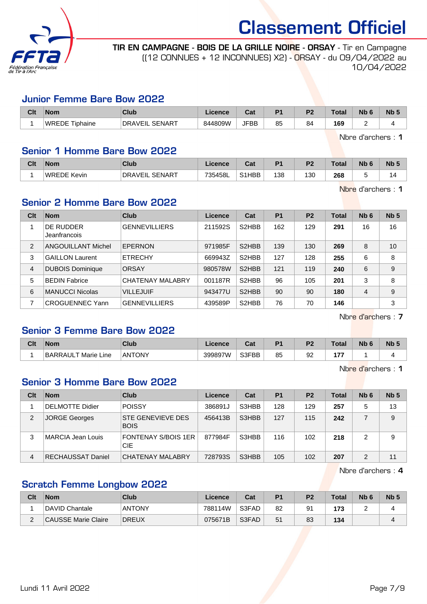

TIR EN CAMPAGNE - BOIS DE LA GRILLE NOIRE - ORSAY - Tir en Campagne ((12 CONNUES + 12 INCONNUES) X2) - ORSAY - du 09/04/2022 au 10/04/2022

### Junior Femme Bare Bow 2022

| Clt | Nom            | Club                       | Licence | <b>Take</b><br>⊍a | D <sub>4</sub> | no. | Total | <b>Nb</b> | N <sub>b</sub> <sub>5</sub> |
|-----|----------------|----------------------------|---------|-------------------|----------------|-----|-------|-----------|-----------------------------|
|     | WREDE Tiphaine | . SENART<br><b>DRAVEIL</b> | 844809W | <b>JFBB</b>       | 85             | 84  | 169   | -         |                             |

Nbre d'archers : 1

### Senior 1 Homme Bare Bow 2022

| Clt | <b>Nom</b>         | Club                                  | icence  | va.               | D <sub>4</sub> | D <sub>2</sub> | <b>Total</b> | <b>Nb</b> | <b>Nb</b> |
|-----|--------------------|---------------------------------------|---------|-------------------|----------------|----------------|--------------|-----------|-----------|
|     | <b>WREDE Kevin</b> | <b>SENART</b><br><sup>'</sup> DRAVEIL | 735458L | 011<br><b>HBB</b> | 138            | 130            | 268          |           |           |

Nbre d'archers : 1

### Senior 2 Homme Bare Bow 2022

| Clt            | <b>Nom</b>                | Club                    | Licence | Cat                | <b>P1</b> | P <sub>2</sub> | Total | Nb <sub>6</sub> | Nb <sub>5</sub> |
|----------------|---------------------------|-------------------------|---------|--------------------|-----------|----------------|-------|-----------------|-----------------|
|                | DE RUDDER<br>Jeanfrancois | <b>GENNEVILLIERS</b>    | 211592S | S <sub>2</sub> HBB | 162       | 129            | 291   | 16              | 16              |
| $\overline{2}$ | ANGOUILLANT Michel        | <b>EPERNON</b>          | 971985F | S <sub>2</sub> HBB | 139       | 130            | 269   | 8               | 10              |
| 3              | <b>GAILLON Laurent</b>    | <b>ETRECHY</b>          | 669943Z | S <sub>2</sub> HBB | 127       | 128            | 255   | 6               | 8               |
| 4              | <b>DUBOIS Dominique</b>   | <b>ORSAY</b>            | 980578W | S <sub>2</sub> HBB | 121       | 119            | 240   | 6               | 9               |
| 5              | <b>BEDIN Fabrice</b>      | <b>CHATENAY MALABRY</b> | 001187R | S <sub>2</sub> HBB | 96        | 105            | 201   | 3               | 8               |
| 6              | <b>MANUCCI Nicolas</b>    | <b>VILLEJUIF</b>        | 943477U | S <sub>2</sub> HBB | 90        | 90             | 180   | 4               | 9               |
|                | <b>CROGUENNEC Yann</b>    | <b>GENNEVILLIERS</b>    | 439589P | S <sub>2</sub> HBB | 76        | 70             | 146   |                 | 3               |

Nbre d'archers : 7

### Senior 3 Femme Bare Bow 2022

| Clt | <b>Nom</b>                         | <b>Club</b>   | icanca<br>ncence | ⊶ ∼<br>ua | D <sub>4</sub> | D0 | <b>Total</b> | <b>Nb</b> | <b>Nb</b> |
|-----|------------------------------------|---------------|------------------|-----------|----------------|----|--------------|-----------|-----------|
|     | <b>BARRAUL</b><br>⊺Marie L<br>Line | <b>ANTONY</b> | 399897W          | S3FBB     | 85             | 92 | –            |           |           |

Nbre d'archers : 1

### Senior 3 Homme Bare Bow 2022

| Clt | <b>Nom</b>             | Club                                     | Licence | Cat   | <b>P1</b> | P <sub>2</sub> | Total | Nb <sub>6</sub> | Nb <sub>5</sub> |
|-----|------------------------|------------------------------------------|---------|-------|-----------|----------------|-------|-----------------|-----------------|
|     | <b>DELMOTTE Didier</b> | <b>POISSY</b>                            | 386891J | S3HBB | 128       | 129            | 257   | 5               | 13              |
| 2   | JORGE Georges          | <b>STE GENEVIEVE DES</b><br><b>BOIS</b>  | 456413B | S3HBB | 127       | 115            | 242   |                 | 9               |
| 3   | MARCIA Jean Louis      | <b>FONTENAY S/BOIS 1ER</b><br><b>CIE</b> | 877984F | S3HBB | 116       | 102            | 218   | 2               | 9               |
| 4   | RECHAUSSAT Daniel      | CHATENAY MALABRY                         | 728793S | S3HBB | 105       | 102            | 207   | 2               | 11              |

Nbre d'archers : 4

### Scratch Femme Longbow 2022

| Clt             | <b>Nom</b>          | Club          | Licence | Cat   | P <sub>1</sub> | P <sub>2</sub> | <b>Total</b> | N <sub>b</sub> <sub>6</sub> | <b>Nb</b> |
|-----------------|---------------------|---------------|---------|-------|----------------|----------------|--------------|-----------------------------|-----------|
|                 | DAVID Chantale      | <b>ANTONY</b> | 788114W | S3FAD | 82             | 91             | 173          |                             |           |
| $\sqrt{2}$<br>- | CAUSSE Marie Claire | DREUX         | 075671B | S3FAD | 51             | 83             | 134          |                             |           |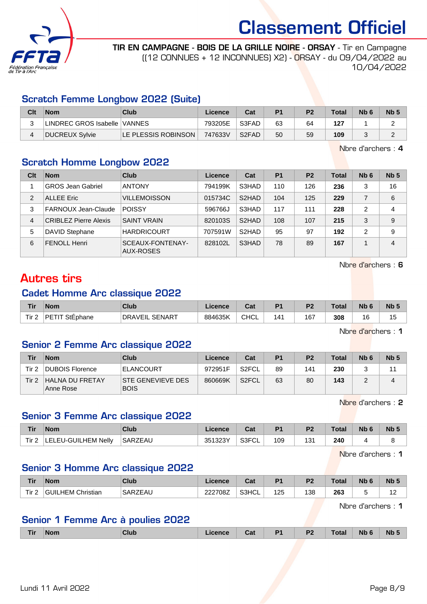

TIR EN CAMPAGNE - BOIS DE LA GRILLE NOIRE - ORSAY - Tir en Campagne ((12 CONNUES + 12 INCONNUES) X2) - ORSAY - du 09/04/2022 au 10/04/2022

### Scratch Femme Longbow 2022 (Suite)

| Clt | <b>Nom</b>                   | Club                | Licence | Cat   | P <sub>1</sub> | P <sub>2</sub> | <b>Total</b> | N <sub>b</sub> 6 | Nb ! |
|-----|------------------------------|---------------------|---------|-------|----------------|----------------|--------------|------------------|------|
|     | LINDREC GROS Isabelle VANNES |                     | 793205E | S3FAD | 63             | 64             | 127          |                  |      |
|     | <b>DUCREUX Sylvie</b>        | LE PLESSIS ROBINSON | 747633V | S2FAD | 50             | 59             | 109          |                  |      |

Nbre d'archers : 4

### Scratch Homme Longbow 2022

| Clt | <b>Nom</b>                   | Club                          | Licence | Cat                | P <sub>1</sub> | P <sub>2</sub> | <b>Total</b> | Nb <sub>6</sub> | Nb <sub>5</sub> |
|-----|------------------------------|-------------------------------|---------|--------------------|----------------|----------------|--------------|-----------------|-----------------|
|     | <b>GROS Jean Gabriel</b>     | <b>ANTONY</b>                 | 794199K | S3HAD              | 110            | 126            | 236          | 3               | 16              |
| 2   | <b>ALLEE Eric</b>            | <b>VILLEMOISSON</b>           | 015734C | S2HAD              | 104            | 125            | 229          | $\overline{7}$  | 6               |
| 3   | FARNOUX Jean-Claude          | <b>POISSY</b>                 | 596766J | S3HAD              | 117            | 111            | 228          | 2               | 4               |
| 4   | <b>CRIBLEZ Pierre Alexis</b> | <b>SAINT VRAIN</b>            | 820103S | S <sub>2</sub> HAD | 108            | 107            | 215          | 3               | 9               |
| 5   | <b>DAVID Stephane</b>        | <b>HARDRICOURT</b>            | 707591W | S2HAD              | 95             | 97             | 192          | 2               | 9               |
| 6   | <b>FENOLL Henri</b>          | SCEAUX-FONTENAY-<br>AUX-ROSES | 828102L | S3HAD              | 78             | 89             | 167          |                 | $\overline{4}$  |

Nbre d'archers : 6

## Autres tirs

#### Cadet Homme Arc classique 2022

| <b>Tir</b> | <b>Nom</b>               | Club                            | licence | ີ້<br>ua | D <sub>1</sub> | P <sub>2</sub> | Total | <b>N<sub>b</sub></b> | Nb <sub>5</sub> |
|------------|--------------------------|---------------------------------|---------|----------|----------------|----------------|-------|----------------------|-----------------|
| Tir $2$    | <b>PETIT</b><br>StEphane | <b>SENART</b><br><b>DRAVEIL</b> | 884635K | CHCL     | 41             | 167            | 308   | 16                   | ں ו<br>$\sim$   |

Nbre d'archers : 1

### Senior 2 Femme Arc classique 2022

| Tir   | <b>Nom</b>                   | Club                                    | Licence | Cat                | P <sub>1</sub> | P <sub>2</sub> | <b>Total</b> | N <sub>b</sub> 6 | N <sub>b</sub> 5 |
|-------|------------------------------|-----------------------------------------|---------|--------------------|----------------|----------------|--------------|------------------|------------------|
| Tir 2 | <b>DUBOIS Florence</b>       | <b>ELANCOURT</b>                        | 972951F | S <sub>2</sub> FCL | 89             | 141            | 230          |                  |                  |
| Tir 2 | HALNA DU FRETAY<br>Anne Rose | <b>STE GENEVIEVE DES</b><br><b>BOIS</b> | 860669K | S <sub>2</sub> FCL | 63             | 80             | 143          |                  |                  |

Nbre d'archers : 2

### Senior 3 Femme Arc classique 2022

| Tir   | Nom                        | Club           | Licence | $\sim$<br>uai | P <sub>1</sub> | P <sub>2</sub> | Total | Nb <sub>6</sub> | N <sub>b</sub> 5 |
|-------|----------------------------|----------------|---------|---------------|----------------|----------------|-------|-----------------|------------------|
| Tir 2 | <b>LELEU-GUILHEM Nelly</b> | <b>SARZEAU</b> | 351323Y | S3FCL         | 109            | 131            | 240   |                 |                  |

Nbre d'archers : 1

### Senior 3 Homme Arc classique 2022

| <b>Tir</b> | <b>Nom</b>             | Club    | Licence | ∩~'<br>⊍aι | D <sub>1</sub> | P <sub>2</sub> | ™otal | Nb | Nb 5              |
|------------|------------------------|---------|---------|------------|----------------|----------------|-------|----|-------------------|
| Tir.       | LHEM Christian<br>GUIL | SARZEAU | 222708Z | S3HCL      | 125            | 138            | 263   |    | י י<br>. <u>.</u> |

Nbre d'archers : 1

### Senior 1 Femme Arc à poulies 2022

|  | ∩ r | <b>Nom</b> | <b>Club</b> | icence | Cat | D. | D'<br>. . | ⊺otal | <b>Nb</b> | <b>Nb</b> |
|--|-----|------------|-------------|--------|-----|----|-----------|-------|-----------|-----------|
|--|-----|------------|-------------|--------|-----|----|-----------|-------|-----------|-----------|